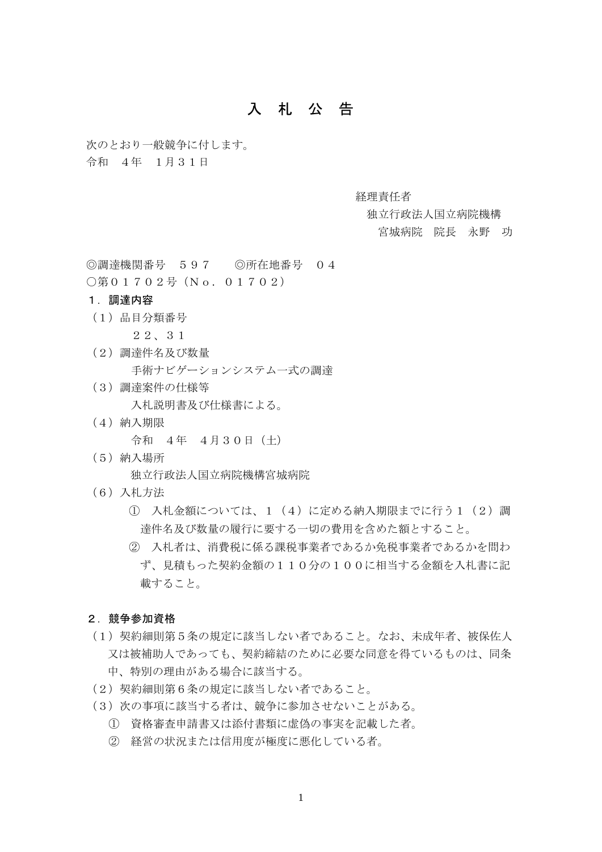# 入 札 公 告

次のとおり一般競争に付します。

令和 4年 1月31日

経理責任者

独立行政法人国立病院機構

宮城病院 院長 永野 功

◎調達機関番号 597 ◎所在地番号 04

○第01702号 (No. 01702)

## 1.調達内容

(1)品目分類番号

22、31

- (2)調達件名及び数量 手術ナビゲーションシステム一式の調達
- (3)調達案件の仕様等

入札説明書及び仕様書による。

(4)納入期限

令和 4年 4月30日(土)

(5)納入場所

独立行政法人国立病院機構宮城病院

- (6)入札方法
	- ① 入札金額については、1(4)に定める納入期限までに行う1(2)調 達件名及び数量の履行に要する一切の費用を含めた額とすること。
	- ② 入札者は、消費税に係る課税事業者であるか免税事業者であるかを問わ ず、見積もった契約金額の110分の100に相当する金額を入札書に記 載すること。

### 2.競争参加資格

- (1)契約細則第5条の規定に該当しない者であること。なお、未成年者、被保佐人 又は被補助人であっても、契約締結のために必要な同意を得ているものは、同条 中、特別の理由がある場合に該当する。
- (2)契約細則第6条の規定に該当しない者であること。
- (3)次の事項に該当する者は、競争に参加させないことがある。
	- ① 資格審査申請書又は添付書類に虚偽の事実を記載した者。
	- ② 経営の状況または信用度が極度に悪化している者。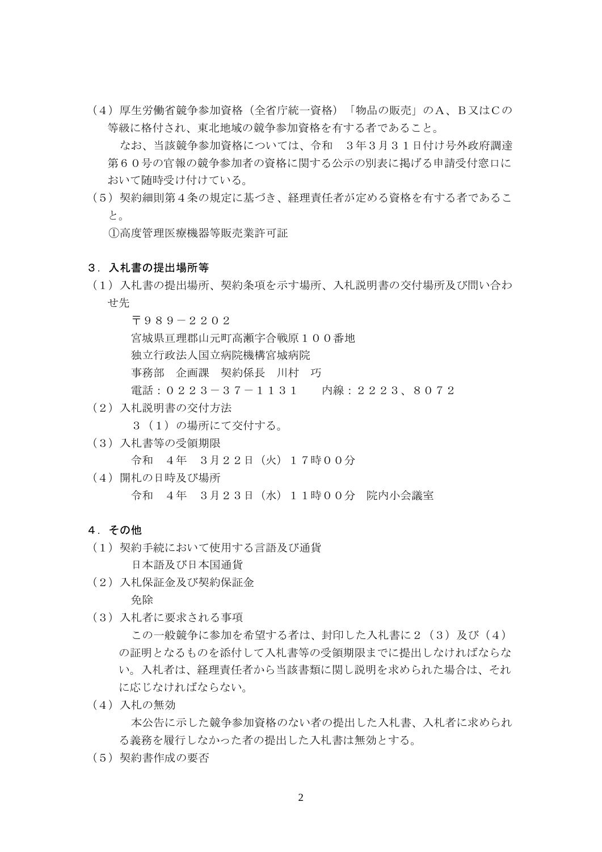(4)厚生労働省競争参加資格(全省庁統一資格)「物品の販売」のA、B又はCの 等級に格付され、東北地域の競争参加資格を有する者であること。

 なお、当該競争参加資格については、令和 3年3月31日付け号外政府調達 第60号の官報の競争参加者の資格に関する公示の別表に掲げる申請受付窓口に おいて随時受け付けている。

(5)契約細則第4条の規定に基づき、経理責任者が定める資格を有する者であるこ と。

①高度管理医療機器等販売業許可証

#### 3.入札書の提出場所等

(1)入札書の提出場所、契約条項を示す場所、入札説明書の交付場所及び問い合わ せ先

 〒989-2202 宮城県亘理郡山元町高瀬字合戦原100番地 独立行政法人国立病院機構宮城病院 事務部 企画課 契約係長 川村 巧 電話:0223-37-1131 内線:2223、8072

(2)入札説明書の交付方法

3 (1)の場所にて交付する。

(3)入札書等の受領期限

令和 4年 3月22日(火)17時00分

(4)開札の日時及び場所 令和 4年 3月23日(水)11時00分 院内小会議室

## 4.その他

(1)契約手続において使用する言語及び通貨

日本語及び日本国通貨

(2)入札保証金及び契約保証金

免除

(3)入札者に要求される事項

この一般競争に参加を希望する者は、封印した入札書に2 (3)及び(4) の証明となるものを添付して入札書等の受領期限までに提出しなければならな い。入札者は、経理責任者から当該書類に関し説明を求められた場合は、それ に応じなければならない。

(4)入札の無効

 本公告に示した競争参加資格のない者の提出した入札書、入札者に求められ る義務を履行しなかった者の提出した入札書は無効とする。

(5)契約書作成の要否